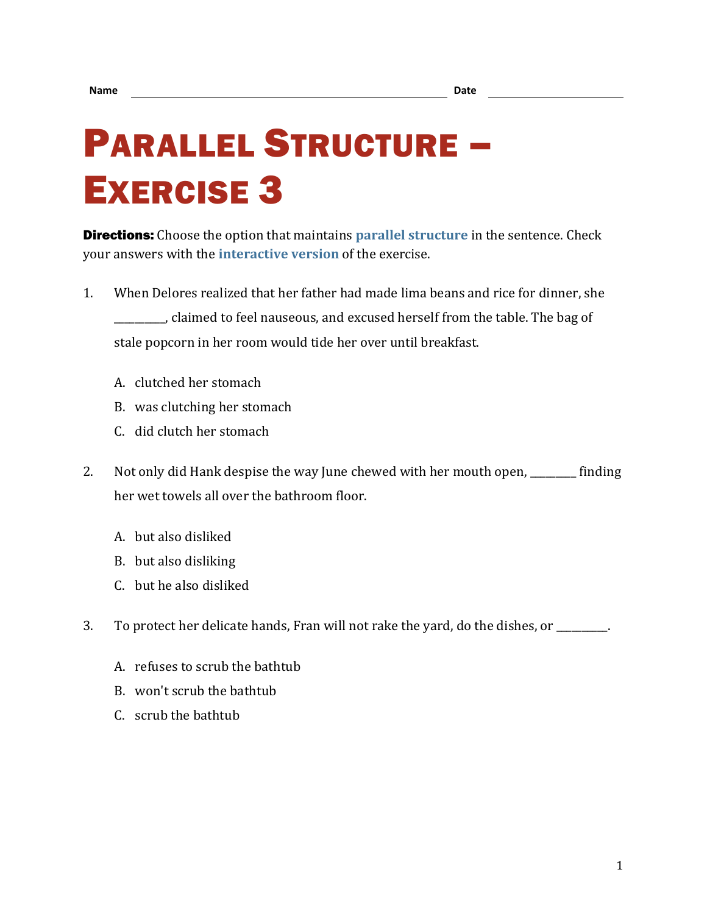## PARALLEL STRUCTURE – EXERCISE 3

**Directions:** Choose the option that maintains **[parallel structure](https://chompchomp.com/terms/parallelstructure.htm)** in the sentence. Check your answers with the **[interactive version](https://chompchomp.com/structure03/)** of the exercise.

- 1. When Delores realized that her father had made lima beans and rice for dinner, she \_\_\_\_\_\_\_\_\_\_, claimed to feel nauseous, and excused herself from the table. The bag of stale popcorn in her room would tide her over until breakfast.
	- A. clutched her stomach
	- B. was clutching her stomach
	- C. did clutch her stomach
- 2. Not only did Hank despise the way June chewed with her mouth open, \_\_\_\_\_\_\_\_ finding her wet towels all over the bathroom floor.
	- A. but also disliked
	- B. but also disliking
	- C. but he also disliked
- 3. To protect her delicate hands, Fran will not rake the yard, do the dishes, or \_\_\_\_\_\_\_\_\_\_.
	- A. refuses to scrub the bathtub
	- B. won't scrub the bathtub
	- C. scrub the bathtub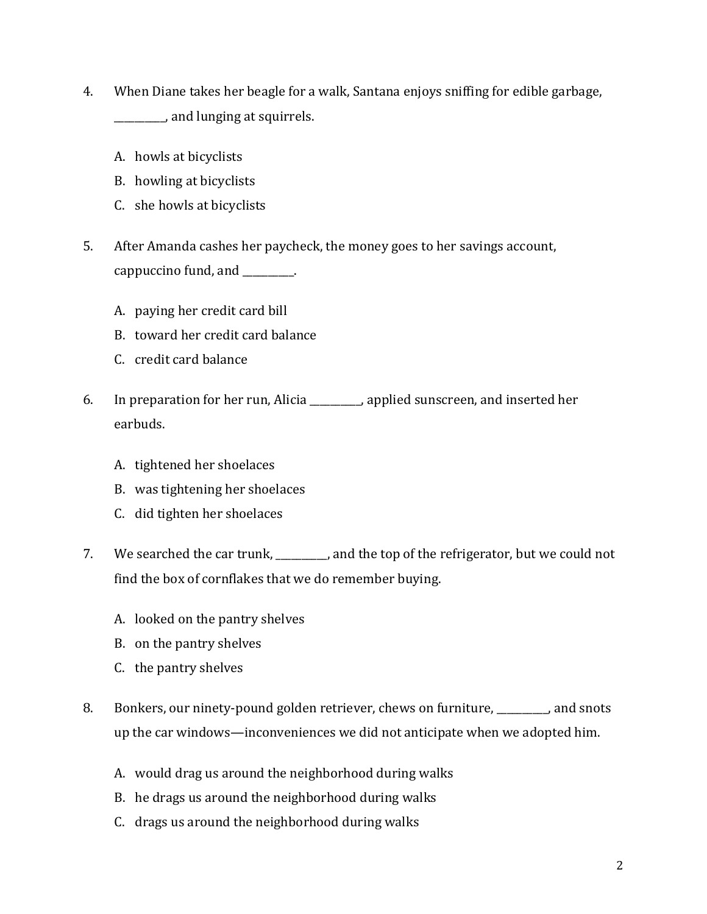- 4. When Diane takes her beagle for a walk, Santana enjoys sniffing for edible garbage, \_\_\_\_\_\_\_\_\_\_, and lunging at squirrels.
	- A. howls at bicyclists
	- B. howling at bicyclists
	- C. she howls at bicyclists
- 5. After Amanda cashes her paycheck, the money goes to her savings account, cappuccino fund, and \_\_\_\_\_\_\_\_\_\_.
	- A. paying her credit card bill
	- B. toward her credit card balance
	- C. credit card balance
- 6. In preparation for her run, Alicia \_\_\_\_\_\_\_\_\_\_, applied sunscreen, and inserted her earbuds.
	- A. tightened her shoelaces
	- B. was tightening her shoelaces
	- C. did tighten her shoelaces
- 7. We searched the car trunk, and the top of the refrigerator, but we could not find the box of cornflakes that we do remember buying.
	- A. looked on the pantry shelves
	- B. on the pantry shelves
	- C. the pantry shelves
- 8. Bonkers, our ninety-pound golden retriever, chews on furniture, \_\_\_\_\_\_\_\_\_\_, and snots up the car windows—inconveniences we did not anticipate when we adopted him.
	- A. would drag us around the neighborhood during walks
	- B. he drags us around the neighborhood during walks
	- C. drags us around the neighborhood during walks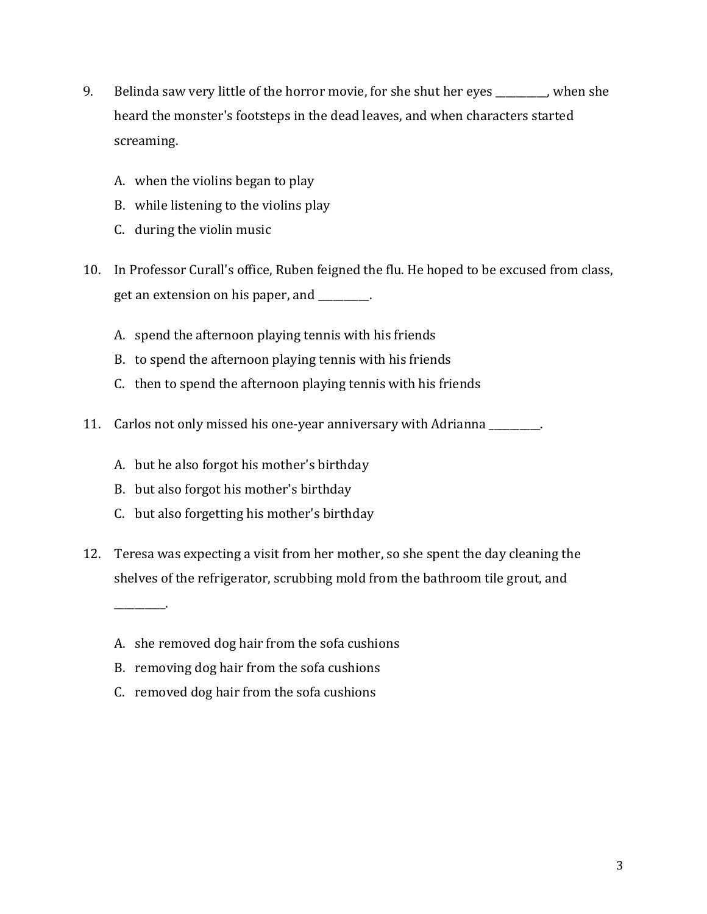- 9. Belinda saw very little of the horror movie, for she shut her eyes extending here is not be not to be not it heard the monster's footsteps in the dead leaves, and when characters started screaming.
	- A. when the violins began to play
	- B. while listening to the violins play
	- C. during the violin music
- 10. In Professor Curall's office, Ruben feigned the flu. He hoped to be excused from class, get an extension on his paper, and \_\_\_\_\_\_\_\_\_\_.
	- A. spend the afternoon playing tennis with his friends
	- B. to spend the afternoon playing tennis with his friends
	- C. then to spend the afternoon playing tennis with his friends
- 11. Carlos not only missed his one-year anniversary with Adrianna \_\_\_\_\_\_\_\_\_\_.
	- A. but he also forgot his mother's birthday
	- B. but also forgot his mother's birthday

\_\_\_\_\_\_\_\_\_\_.

- C. but also forgetting his mother's birthday
- 12. Teresa was expecting a visit from her mother, so she spent the day cleaning the shelves of the refrigerator, scrubbing mold from the bathroom tile grout, and
	- A. she removed dog hair from the sofa cushions
	- B. removing dog hair from the sofa cushions
	- C. removed dog hair from the sofa cushions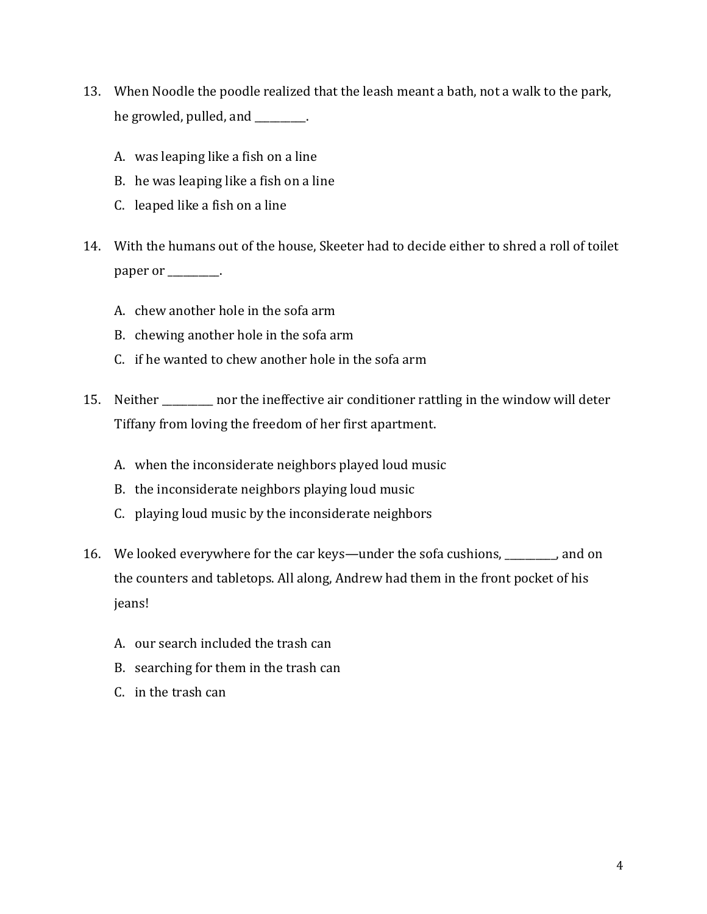- 13. When Noodle the poodle realized that the leash meant a bath, not a walk to the park, he growled, pulled, and \_\_\_\_\_\_\_\_.
	- A. was leaping like a fish on a line
	- B. he was leaping like a fish on a line
	- C. leaped like a fish on a line
- 14. With the humans out of the house, Skeeter had to decide either to shred a roll of toilet paper or \_\_\_\_\_\_\_\_\_.
	- A. chew another hole in the sofa arm
	- B. chewing another hole in the sofa arm
	- C. if he wanted to chew another hole in the sofa arm
- 15. Neither \_\_\_\_\_\_\_\_\_\_ nor the ineffective air conditioner rattling in the window will deter Tiffany from loving the freedom of her first apartment.
	- A. when the inconsiderate neighbors played loud music
	- B. the inconsiderate neighbors playing loud music
	- C. playing loud music by the inconsiderate neighbors
- 16. We looked everywhere for the car keys—under the sofa cushions, \_\_\_\_\_\_\_\_\_\_, and on the counters and tabletops. All along, Andrew had them in the front pocket of his jeans!
	- A. our search included the trash can
	- B. searching for them in the trash can
	- C. in the trash can